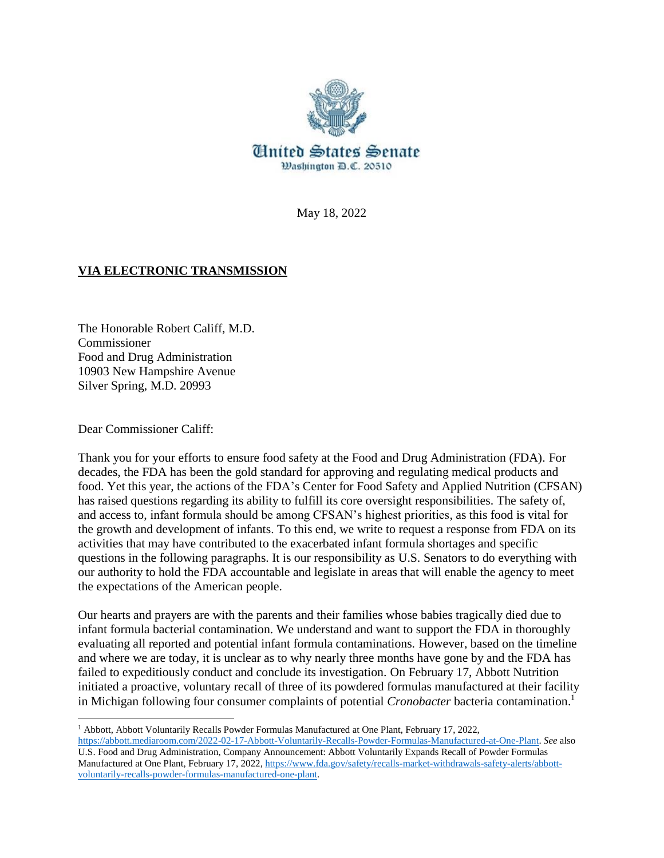

May 18, 2022

## **VIA ELECTRONIC TRANSMISSION**

The Honorable Robert Califf, M.D. **Commissioner** Food and Drug Administration 10903 New Hampshire Avenue Silver Spring, M.D. 20993

Dear Commissioner Califf:

 $\overline{\phantom{a}}$ 

Thank you for your efforts to ensure food safety at the Food and Drug Administration (FDA). For decades, the FDA has been the gold standard for approving and regulating medical products and food. Yet this year, the actions of the FDA's Center for Food Safety and Applied Nutrition (CFSAN) has raised questions regarding its ability to fulfill its core oversight responsibilities. The safety of, and access to, infant formula should be among CFSAN's highest priorities, as this food is vital for the growth and development of infants. To this end, we write to request a response from FDA on its activities that may have contributed to the exacerbated infant formula shortages and specific questions in the following paragraphs. It is our responsibility as U.S. Senators to do everything with our authority to hold the FDA accountable and legislate in areas that will enable the agency to meet the expectations of the American people.

Our hearts and prayers are with the parents and their families whose babies tragically died due to infant formula bacterial contamination. We understand and want to support the FDA in thoroughly evaluating all reported and potential infant formula contaminations. However, based on the timeline and where we are today, it is unclear as to why nearly three months have gone by and the FDA has failed to expeditiously conduct and conclude its investigation. On February 17, Abbott Nutrition initiated a proactive, voluntary recall of three of its powdered formulas manufactured at their facility in Michigan following four consumer complaints of potential *Cronobacter* bacteria contamination. 1

<sup>1</sup> Abbott, Abbott Voluntarily Recalls Powder Formulas Manufactured at One Plant, February 17, 2022, [https://abbott.mediaroom.com/2022-02-17-Abbott-Voluntarily-Recalls-Powder-Formulas-Manufactured-at-One-Plant.](https://abbott.mediaroom.com/2022-02-17-Abbott-Voluntarily-Recalls-Powder-Formulas-Manufactured-at-One-Plant) *See* also U.S. Food and Drug Administration, Company Announcement: Abbott Voluntarily Expands Recall of Powder Formulas Manufactured at One Plant, February 17, 2022[, https://www.fda.gov/safety/recalls-market-withdrawals-safety-alerts/abbott](https://www.fda.gov/safety/recalls-market-withdrawals-safety-alerts/abbott-voluntarily-recalls-powder-formulas-manufactured-one-plant)[voluntarily-recalls-powder-formulas-manufactured-one-plant.](https://www.fda.gov/safety/recalls-market-withdrawals-safety-alerts/abbott-voluntarily-recalls-powder-formulas-manufactured-one-plant)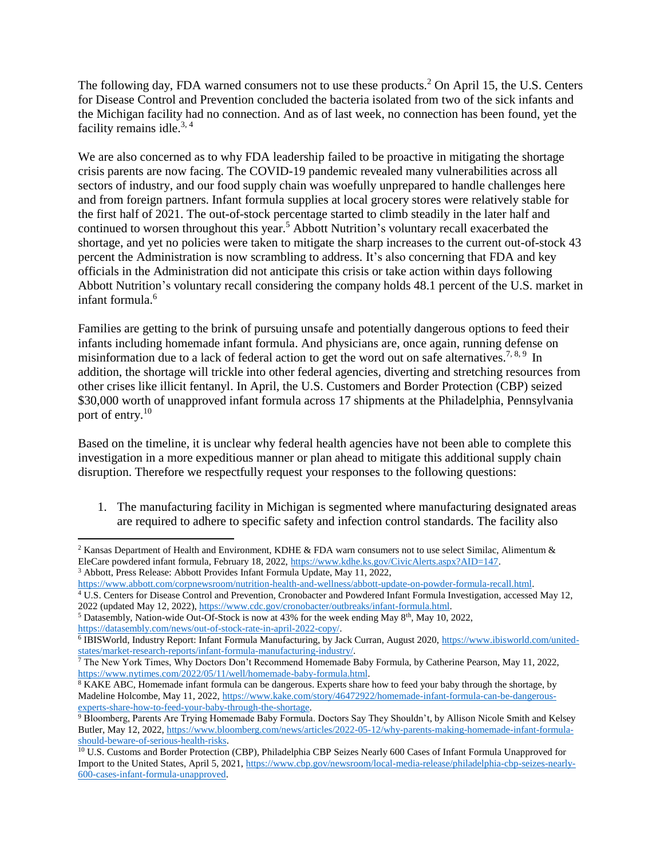The following day, FDA warned consumers not to use these products.<sup>2</sup> On April 15, the U.S. Centers for Disease Control and Prevention concluded the bacteria isolated from two of the sick infants and the Michigan facility had no connection. And as of last week, no connection has been found, yet the facility remains idle.<sup>3, 4</sup>

We are also concerned as to why FDA leadership failed to be proactive in mitigating the shortage crisis parents are now facing. The COVID-19 pandemic revealed many vulnerabilities across all sectors of industry, and our food supply chain was woefully unprepared to handle challenges here and from foreign partners. Infant formula supplies at local grocery stores were relatively stable for the first half of 2021. The out-of-stock percentage started to climb steadily in the later half and continued to worsen throughout this year.<sup>5</sup> Abbott Nutrition's voluntary recall exacerbated the shortage, and yet no policies were taken to mitigate the sharp increases to the current out-of-stock 43 percent the Administration is now scrambling to address. It's also concerning that FDA and key officials in the Administration did not anticipate this crisis or take action within days following Abbott Nutrition's voluntary recall considering the company holds 48.1 percent of the U.S. market in infant formula.<sup>6</sup>

Families are getting to the brink of pursuing unsafe and potentially dangerous options to feed their infants including homemade infant formula. And physicians are, once again, running defense on misinformation due to a lack of federal action to get the word out on safe alternatives.<sup>7, 8, 9</sup> In addition, the shortage will trickle into other federal agencies, diverting and stretching resources from other crises like illicit fentanyl. In April, the U.S. Customers and Border Protection (CBP) seized \$30,000 worth of unapproved infant formula across 17 shipments at the Philadelphia, Pennsylvania port of entry.<sup>10</sup>

Based on the timeline, it is unclear why federal health agencies have not been able to complete this investigation in a more expeditious manner or plan ahead to mitigate this additional supply chain disruption. Therefore we respectfully request your responses to the following questions:

1. The manufacturing facility in Michigan is segmented where manufacturing designated areas are required to adhere to specific safety and infection control standards. The facility also

 $\overline{a}$ <sup>2</sup> Kansas Department of Health and Environment, KDHE & FDA warn consumers not to use select Similac, Alimentum & EleCare powdered infant formula, February 18, 2022, [https://www.kdhe.ks.gov/CivicAlerts.aspx?AID=147.](https://www.kdhe.ks.gov/CivicAlerts.aspx?AID=147)  <sup>3</sup> Abbott, Press Release: Abbott Provides Infant Formula Update, May 11, 2022,

[https://www.abbott.com/corpnewsroom/nutrition-health-and-wellness/abbott-update-on-powder-formula-recall.html.](https://www.abbott.com/corpnewsroom/nutrition-health-and-wellness/abbott-update-on-powder-formula-recall.html) 

<sup>4</sup> U.S. Centers for Disease Control and Prevention, Cronobacter and Powdered Infant Formula Investigation, accessed May 12, 2022 (updated May 12, 2022)[, https://www.cdc.gov/cronobacter/outbreaks/infant-formula.html.](https://www.cdc.gov/cronobacter/outbreaks/infant-formula.html)

<sup>&</sup>lt;sup>5</sup> Datasembly, Nation-wide Out-Of-Stock is now at 43% for the week ending May 8<sup>th</sup>, May 10, 2022, [https://datasembly.com/news/out-of-stock-rate-in-april-2022-copy/.](https://datasembly.com/news/out-of-stock-rate-in-april-2022-copy/)

<sup>6</sup> IBISWorld, Industry Report: Infant Formula Manufacturing, by Jack Curran, August 2020[, https://www.ibisworld.com/united](https://www.ibisworld.com/united-states/market-research-reports/infant-formula-manufacturing-industry/)[states/market-research-reports/infant-formula-manufacturing-industry/.](https://www.ibisworld.com/united-states/market-research-reports/infant-formula-manufacturing-industry/)

<sup>&</sup>lt;sup>7</sup> The New York Times, Why Doctors Don't Recommend Homemade Baby Formula, by Catherine Pearson, May 11, 2022, [https://www.nytimes.com/2022/05/11/well/homemade-baby-formula.html.](https://www.nytimes.com/2022/05/11/well/homemade-baby-formula.html)

<sup>&</sup>lt;sup>8</sup> KAKE ABC, Homemade infant formula can be dangerous. Experts share how to feed your baby through the shortage, by Madeline Holcombe, May 11, 2022, [https://www.kake.com/story/46472922/homemade-infant-formula-can-be-dangerous](https://www.kake.com/story/46472922/homemade-infant-formula-can-be-dangerous-experts-share-how-to-feed-your-baby-through-the-shortage)[experts-share-how-to-feed-your-baby-through-the-shortage.](https://www.kake.com/story/46472922/homemade-infant-formula-can-be-dangerous-experts-share-how-to-feed-your-baby-through-the-shortage)

<sup>9</sup> Bloomberg, Parents Are Trying Homemade Baby Formula. Doctors Say They Shouldn't, by Allison Nicole Smith and Kelsey Butler, May 12, 2022[, https://www.bloomberg.com/news/articles/2022-05-12/why-parents-making-homemade-infant-formula](https://www.bloomberg.com/news/articles/2022-05-12/why-parents-making-homemade-infant-formula-should-beware-of-serious-health-risks)[should-beware-of-serious-health-risks.](https://www.bloomberg.com/news/articles/2022-05-12/why-parents-making-homemade-infant-formula-should-beware-of-serious-health-risks)

<sup>&</sup>lt;sup>10</sup> U.S. Customs and Border Protection (CBP), Philadelphia CBP Seizes Nearly 600 Cases of Infant Formula Unapproved for Import to the United States, April 5, 2021[, https://www.cbp.gov/newsroom/local-media-release/philadelphia-cbp-seizes-nearly-](https://www.cbp.gov/newsroom/local-media-release/philadelphia-cbp-seizes-nearly-600-cases-infant-formula-unapproved)[600-cases-infant-formula-unapproved.](https://www.cbp.gov/newsroom/local-media-release/philadelphia-cbp-seizes-nearly-600-cases-infant-formula-unapproved)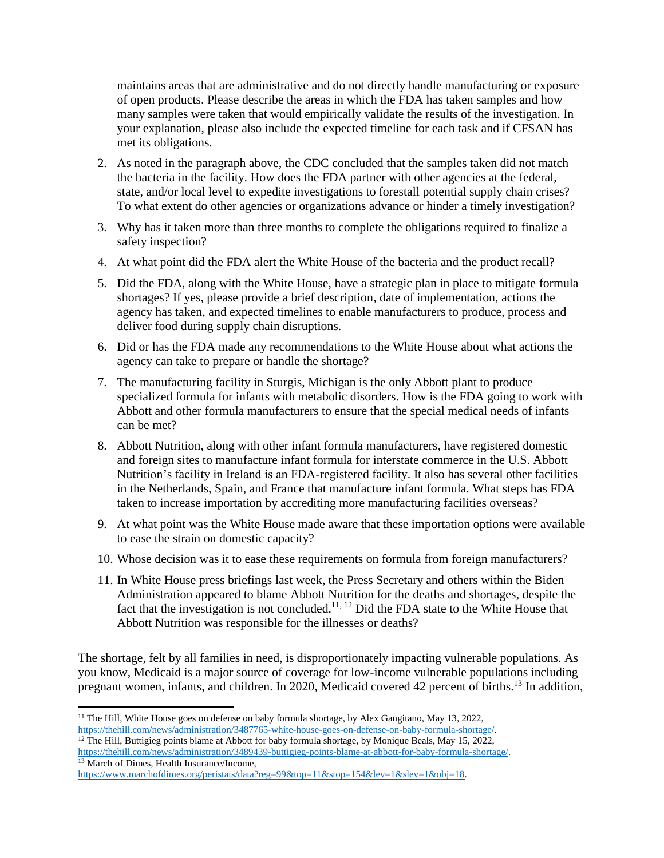maintains areas that are administrative and do not directly handle manufacturing or exposure of open products. Please describe the areas in which the FDA has taken samples and how many samples were taken that would empirically validate the results of the investigation. In your explanation, please also include the expected timeline for each task and if CFSAN has met its obligations.

- 2. As noted in the paragraph above, the CDC concluded that the samples taken did not match the bacteria in the facility. How does the FDA partner with other agencies at the federal, state, and/or local level to expedite investigations to forestall potential supply chain crises? To what extent do other agencies or organizations advance or hinder a timely investigation?
- 3. Why has it taken more than three months to complete the obligations required to finalize a safety inspection?
- 4. At what point did the FDA alert the White House of the bacteria and the product recall?
- 5. Did the FDA, along with the White House, have a strategic plan in place to mitigate formula shortages? If yes, please provide a brief description, date of implementation, actions the agency has taken, and expected timelines to enable manufacturers to produce, process and deliver food during supply chain disruptions.
- 6. Did or has the FDA made any recommendations to the White House about what actions the agency can take to prepare or handle the shortage?
- 7. The manufacturing facility in Sturgis, Michigan is the only Abbott plant to produce specialized formula for infants with metabolic disorders. How is the FDA going to work with Abbott and other formula manufacturers to ensure that the special medical needs of infants can be met?
- 8. Abbott Nutrition, along with other infant formula manufacturers, have registered domestic and foreign sites to manufacture infant formula for interstate commerce in the U.S. Abbott Nutrition's facility in Ireland is an FDA-registered facility. It also has several other facilities in the Netherlands, Spain, and France that manufacture infant formula. What steps has FDA taken to increase importation by accrediting more manufacturing facilities overseas?
- 9. At what point was the White House made aware that these importation options were available to ease the strain on domestic capacity?
- 10. Whose decision was it to ease these requirements on formula from foreign manufacturers?
- 11. In White House press briefings last week, the Press Secretary and others within the Biden Administration appeared to blame Abbott Nutrition for the deaths and shortages, despite the fact that the investigation is not concluded.<sup>11, 12</sup> Did the FDA state to the White House that Abbott Nutrition was responsible for the illnesses or deaths?

The shortage, felt by all families in need, is disproportionately impacting vulnerable populations. As you know, Medicaid is a major source of coverage for low-income vulnerable populations including pregnant women, infants, and children. In 2020, Medicaid covered 42 percent of births.<sup>13</sup> In addition,

 $\overline{a}$ <sup>11</sup> The Hill, White House goes on defense on baby formula shortage, by Alex Gangitano, May 13, 2022, [https://thehill.com/news/administration/3487765-white-house-goes-on-defense-on-baby-formula-shortage/.](https://thehill.com/news/administration/3487765-white-house-goes-on-defense-on-baby-formula-shortage/)

<sup>&</sup>lt;sup>12</sup> The Hill, Buttigieg points blame at Abbott for baby formula shortage, by Monique Beals, May 15, 2022, [https://thehill.com/news/administration/3489439-buttigieg-points-blame-at-abbott-for-baby-formula-shortage/.](https://thehill.com/news/administration/3489439-buttigieg-points-blame-at-abbott-for-baby-formula-shortage/) <sup>13</sup> March of Dimes, Health Insurance/Income,

[https://www.marchofdimes.org/peristats/data?reg=99&top=11&stop=154&lev=1&slev=1&obj=18.](https://www.marchofdimes.org/peristats/data?reg=99&top=11&stop=154&lev=1&slev=1&obj=18)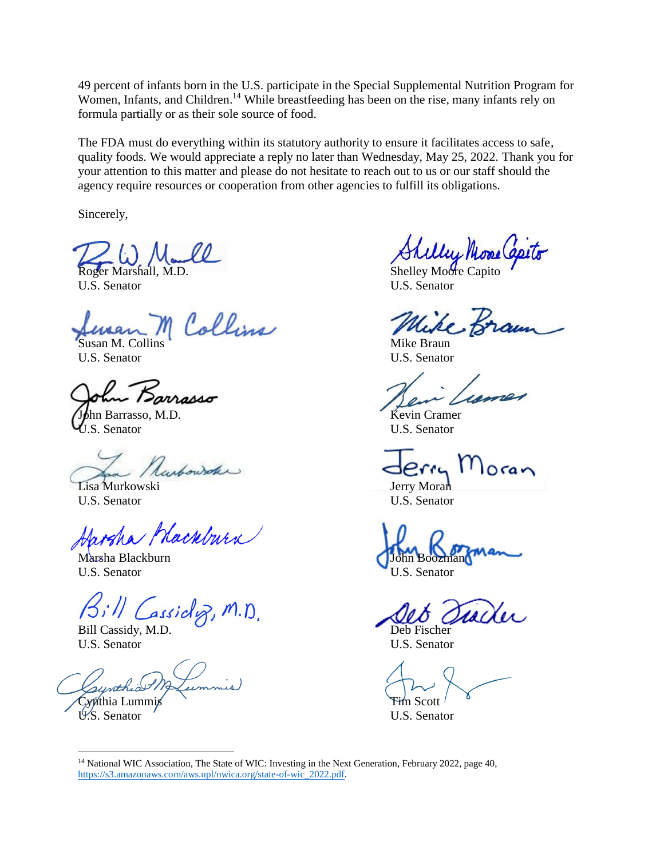49 percent of infants born in the U.S. participate in the Special Supplemental Nutrition Program for Women, Infants, and Children. <sup>14</sup> While breastfeeding has been on the rise, many infants rely on formula partially or as their sole source of food.

The FDA must do everything within its statutory authority to ensure it facilitates access to safe, quality foods. We would appreciate a reply no later than Wednesday, May 25, 2022. Thank you for your attention to this matter and please do not hesitate to reach out to us or our staff should the agency require resources or cooperation from other agencies to fulfill its obligations.

Sincerely,

U.S. Senator U.S. Senator

n Collins Susan M. Collins Mike Braun

U.S. Senator U.S. Senator

arrasso

**Iohn Barrasso, M.D.** Kevin Cramer U.S. Senator U.S. Senator

Ranbowshe

Lisa Murkowski **Jerry Moran** U.S. Senator U.S. Senator

Jarsha Hackburn

Marsha Blackburn U.S. Senator U.S. Senator

Bill Cassidog, M.D.

Bill Cassidy, M.D. Deb Fischer U.S. Senator U.S. Senator

Cynthia Lummis Cynthia Lummis Cynthia Lummis Cynthia Lummis Control Control Control Control Control Control Control Control Control Control Control Control Control Control Control Control Control Control Control Control Co

**Roger Marshall, M.D.** Shelley Moore Capito

U.S. Senator

 $\overline{\phantom{a}}$ <sup>14</sup> National WIC Association, The State of WIC: Investing in the Next Generation, February 2022, page 40, [https://s3.amazonaws.com/aws.upl/nwica.org/state-of-wic\\_2022.pdf.](https://s3.amazonaws.com/aws.upl/nwica.org/state-of-wic_2022.pdf)